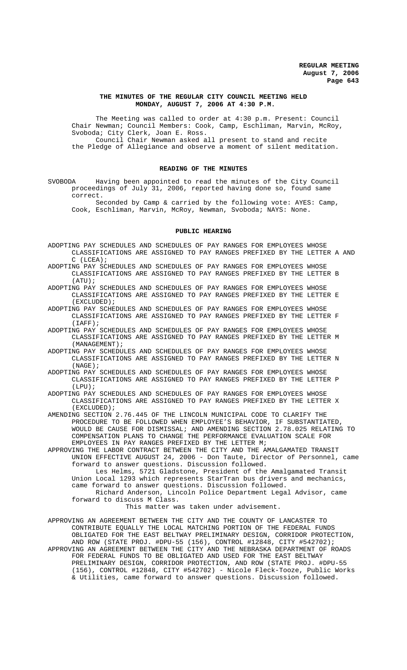### **THE MINUTES OF THE REGULAR CITY COUNCIL MEETING HELD MONDAY, AUGUST 7, 2006 AT 4:30 P.M.**

The Meeting was called to order at 4:30 p.m. Present: Council Chair Newman; Council Members: Cook, Camp, Eschliman, Marvin, McRoy, Svoboda; City Clerk, Joan E. Ross. Council Chair Newman asked all present to stand and recite

the Pledge of Allegiance and observe a moment of silent meditation.

## **READING OF THE MINUTES**

SVOBODA Having been appointed to read the minutes of the City Council proceedings of July 31, 2006, reported having done so, found same correct.

Seconded by Camp & carried by the following vote: AYES: Camp, Cook, Eschliman, Marvin, McRoy, Newman, Svoboda; NAYS: None.

#### **PUBLIC HEARING**

- ADOPTING PAY SCHEDULES AND SCHEDULES OF PAY RANGES FOR EMPLOYEES WHOSE CLASSIFICATIONS ARE ASSIGNED TO PAY RANGES PREFIXED BY THE LETTER A AND C (LCEA);
- ADOPTING PAY SCHEDULES AND SCHEDULES OF PAY RANGES FOR EMPLOYEES WHOSE CLASSIFICATIONS ARE ASSIGNED TO PAY RANGES PREFIXED BY THE LETTER B (ATU);
- ADOPTING PAY SCHEDULES AND SCHEDULES OF PAY RANGES FOR EMPLOYEES WHOSE CLASSIFICATIONS ARE ASSIGNED TO PAY RANGES PREFIXED BY THE LETTER E (EXCLUDED);
- ADOPTING PAY SCHEDULES AND SCHEDULES OF PAY RANGES FOR EMPLOYEES WHOSE CLASSIFICATIONS ARE ASSIGNED TO PAY RANGES PREFIXED BY THE LETTER F  $(IAFF)$ ;
- ADOPTING PAY SCHEDULES AND SCHEDULES OF PAY RANGES FOR EMPLOYEES WHOSE CLASSIFICATIONS ARE ASSIGNED TO PAY RANGES PREFIXED BY THE LETTER M (MANAGEMENT);
- ADOPTING PAY SCHEDULES AND SCHEDULES OF PAY RANGES FOR EMPLOYEES WHOSE CLASSIFICATIONS ARE ASSIGNED TO PAY RANGES PREFIXED BY THE LETTER N (NAGE);
- ADOPTING PAY SCHEDULES AND SCHEDULES OF PAY RANGES FOR EMPLOYEES WHOSE CLASSIFICATIONS ARE ASSIGNED TO PAY RANGES PREFIXED BY THE LETTER P (LPU);
- ADOPTING PAY SCHEDULES AND SCHEDULES OF PAY RANGES FOR EMPLOYEES WHOSE CLASSIFICATIONS ARE ASSIGNED TO PAY RANGES PREFIXED BY THE LETTER X (EXCLUDED);
- AMENDING SECTION 2.76.445 OF THE LINCOLN MUNICIPAL CODE TO CLARIFY THE PROCEDURE TO BE FOLLOWED WHEN EMPLOYEE'S BEHAVIOR, IF SUBSTANTIATED, WOULD BE CAUSE FOR DISMISSAL; AND AMENDING SECTION 2.78.025 RELATING TO COMPENSATION PLANS TO CHANGE THE PERFORMANCE EVALUATION SCALE FOR EMPLOYEES IN PAY RANGES PREFIXED BY THE LETTER M;
- APPROVING THE LABOR CONTRACT BETWEEN THE CITY AND THE AMALGAMATED TRANSIT UNION EFFECTIVE AUGUST 24, 2006 - Don Taute, Director of Personnel, came forward to answer questions. Discussion followed. Les Helms, 5721 Gladstone, President of the Amalgamated Transit
	- Union Local 1293 which represents StarTran bus drivers and mechanics, came forward to answer questions. Discussion followed. Richard Anderson, Lincoln Police Department Legal Advisor, came
	- forward to discuss M Class.

This matter was taken under advisement.

APPROVING AN AGREEMENT BETWEEN THE CITY AND THE COUNTY OF LANCASTER TO CONTRIBUTE EQUALLY THE LOCAL MATCHING PORTION OF THE FEDERAL FUNDS OBLIGATED FOR THE EAST BELTWAY PRELIMINARY DESIGN, CORRIDOR PROTECTION, AND ROW (STATE PROJ. #DPU-55 (156), CONTROL #12848, CITY #542702); APPROVING AN AGREEMENT BETWEEN THE CITY AND THE NEBRASKA DEPARTMENT OF ROADS FOR FEDERAL FUNDS TO BE OBLIGATED AND USED FOR THE EAST BELTWAY PRELIMINARY DESIGN, CORRIDOR PROTECTION, AND ROW (STATE PROJ. #DPU-55 (156), CONTROL #12848, CITY #542702) - Nicole Fleck-Tooze, Public Works & Utilities, came forward to answer questions. Discussion followed.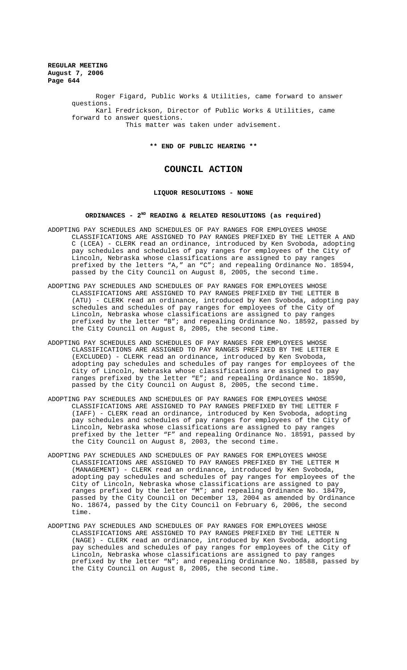> Roger Figard, Public Works & Utilities, came forward to answer questions. Karl Fredrickson, Director of Public Works & Utilities, came forward to answer questions. This matter was taken under advisement.

> > **\*\* END OF PUBLIC HEARING \*\***

# **COUNCIL ACTION**

## **LIQUOR RESOLUTIONS - NONE**

#### **ORDINANCES - 2ND READING & RELATED RESOLUTIONS (as required)**

- ADOPTING PAY SCHEDULES AND SCHEDULES OF PAY RANGES FOR EMPLOYEES WHOSE CLASSIFICATIONS ARE ASSIGNED TO PAY RANGES PREFIXED BY THE LETTER A AND C (LCEA) - CLERK read an ordinance, introduced by Ken Svoboda, adopting pay schedules and schedules of pay ranges for employees of the City of Lincoln, Nebraska whose classifications are assigned to pay ranges prefixed by the letters "A," an "C"; and repealing Ordinance No. 18594, passed by the City Council on August 8, 2005, the second time.
- ADOPTING PAY SCHEDULES AND SCHEDULES OF PAY RANGES FOR EMPLOYEES WHOSE CLASSIFICATIONS ARE ASSIGNED TO PAY RANGES PREFIXED BY THE LETTER B (ATU) - CLERK read an ordinance, introduced by Ken Svoboda, adopting pay schedules and schedules of pay ranges for employees of the City of Lincoln, Nebraska whose classifications are assigned to pay ranges prefixed by the letter "B"; and repealing Ordinance No. 18592, passed by the City Council on August 8, 2005, the second time.
- ADOPTING PAY SCHEDULES AND SCHEDULES OF PAY RANGES FOR EMPLOYEES WHOSE CLASSIFICATIONS ARE ASSIGNED TO PAY RANGES PREFIXED BY THE LETTER E (EXCLUDED) - CLERK read an ordinance, introduced by Ken Svoboda, adopting pay schedules and schedules of pay ranges for employees of the City of Lincoln, Nebraska whose classifications are assigned to pay ranges prefixed by the letter "E"; and repealing Ordinance No. 18590, passed by the City Council on August 8, 2005, the second time.
- ADOPTING PAY SCHEDULES AND SCHEDULES OF PAY RANGES FOR EMPLOYEES WHOSE CLASSIFICATIONS ARE ASSIGNED TO PAY RANGES PREFIXED BY THE LETTER F (IAFF) - CLERK read an ordinance, introduced by Ken Svoboda, adopting pay schedules and schedules of pay ranges for employees of the City of Lincoln, Nebraska whose classifications are assigned to pay ranges prefixed by the letter "F" and repealing Ordinance No. 18591, passed by the City Council on August 8, 2003, the second time.
- ADOPTING PAY SCHEDULES AND SCHEDULES OF PAY RANGES FOR EMPLOYEES WHOSE CLASSIFICATIONS ARE ASSIGNED TO PAY RANGES PREFIXED BY THE LETTER M (MANAGEMENT) - CLERK read an ordinance, introduced by Ken Svoboda, adopting pay schedules and schedules of pay ranges for employees of the City of Lincoln, Nebraska whose classifications are assigned to pay ranges prefixed by the letter "M"; and repealing Ordinance No. 18479, passed by the City Council on December 13, 2004 as amended by Ordinance No. 18674, passed by the City Council on February 6, 2006, the second time.
- ADOPTING PAY SCHEDULES AND SCHEDULES OF PAY RANGES FOR EMPLOYEES WHOSE CLASSIFICATIONS ARE ASSIGNED TO PAY RANGES PREFIXED BY THE LETTER N (NAGE) - CLERK read an ordinance, introduced by Ken Svoboda, adopting pay schedules and schedules of pay ranges for employees of the City of Lincoln, Nebraska whose classifications are assigned to pay ranges prefixed by the letter "N"; and repealing Ordinance No. 18588, passed by the City Council on August 8, 2005, the second time.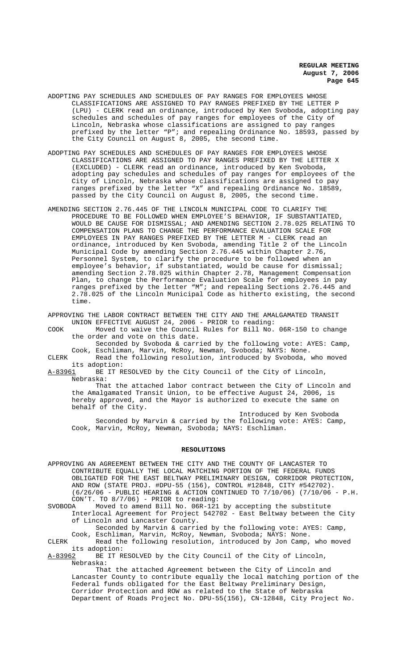- ADOPTING PAY SCHEDULES AND SCHEDULES OF PAY RANGES FOR EMPLOYEES WHOSE CLASSIFICATIONS ARE ASSIGNED TO PAY RANGES PREFIXED BY THE LETTER P (LPU) - CLERK read an ordinance, introduced by Ken Svoboda, adopting pay schedules and schedules of pay ranges for employees of the City of Lincoln, Nebraska whose classifications are assigned to pay ranges prefixed by the letter "P"; and repealing Ordinance No. 18593, passed by the City Council on August 8, 2005, the second time.
- ADOPTING PAY SCHEDULES AND SCHEDULES OF PAY RANGES FOR EMPLOYEES WHOSE CLASSIFICATIONS ARE ASSIGNED TO PAY RANGES PREFIXED BY THE LETTER X (EXCLUDED) - CLERK read an ordinance, introduced by Ken Svoboda, adopting pay schedules and schedules of pay ranges for employees of the City of Lincoln, Nebraska whose classifications are assigned to pay ranges prefixed by the letter "X" and repealing Ordinance No. 18589, passed by the City Council on August 8, 2005, the second time.
- AMENDING SECTION 2.76.445 OF THE LINCOLN MUNICIPAL CODE TO CLARIFY THE PROCEDURE TO BE FOLLOWED WHEN EMPLOYEE'S BEHAVIOR, IF SUBSTANTIATED, WOULD BE CAUSE FOR DISMISSAL; AND AMENDING SECTION 2.78.025 RELATING TO COMPENSATION PLANS TO CHANGE THE PERFORMANCE EVALUATION SCALE FOR EMPLOYEES IN PAY RANGES PREFIXED BY THE LETTER M - CLERK read an ordinance, introduced by Ken Svoboda, amending Title 2 of the Lincoln Municipal Code by amending Section 2.76.445 within Chapter 2.76, Personnel System, to clarify the procedure to be followed when an employee's behavior, if substantiated, would be cause for dismissal; amending Section 2.78.025 within Chapter 2.78, Management Compensation Plan, to change the Performance Evaluation Scale for employees in pay ranges prefixed by the letter "M"; and repealing Sections 2.76.445 and 2.78.025 of the Lincoln Municipal Code as hitherto existing, the second time.

APPROVING THE LABOR CONTRACT BETWEEN THE CITY AND THE AMALGAMATED TRANSIT UNION EFFECTIVE AUGUST 24, 2006 - PRIOR to reading:

COOK Moved to waive the Council Rules for Bill No. 06R-150 to change the order and vote on this date.

Seconded by Svoboda & carried by the following vote: AYES: Camp, Cook, Eschliman, Marvin, McRoy, Newman, Svoboda; NAYS: None.

CLERK Read the following resolution, introduced by Svoboda, who moved its adoption:

BE IT RESOLVED by the City Council of the City of Lincoln, Nebraska:

That the attached labor contract between the City of Lincoln and the Amalgamated Transit Union, to be effective August 24, 2006, is hereby approved, and the Mayor is authorized to execute the same on behalf of the City.

Introduced by Ken Svoboda Seconded by Marvin & carried by the following vote: AYES: Camp, Cook, Marvin, McRoy, Newman, Svoboda; NAYS: Eschliman.

#### **RESOLUTIONS**

APPROVING AN AGREEMENT BETWEEN THE CITY AND THE COUNTY OF LANCASTER TO CONTRIBUTE EQUALLY THE LOCAL MATCHING PORTION OF THE FEDERAL FUNDS OBLIGATED FOR THE EAST BELTWAY PRELIMINARY DESIGN, CORRIDOR PROTECTION, AND ROW (STATE PROJ. #DPU-55 (156), CONTROL #12848, CITY #542702). (6/26/06 - PUBLIC HEARING & ACTION CONTINUED TO 7/10/06) (7/10/06 - P.H. CON'T. TO 8/7/06) - PRIOR to reading:<br>SVOBODA Moved to amend Bill No. 06R-121

Moved to amend Bill No. 06R-121 by accepting the substitute Interlocal Agreement for Project 542702 - East Beltway between the City of Lincoln and Lancaster County.

Seconded by Marvin & carried by the following vote: AYES: Camp, Cook, Eschliman, Marvin, McRoy, Newman, Svoboda; NAYS: None.

CLERK Read the following resolution, introduced by Jon Camp, who moved its adoption:<br>A-83962 BE IT R

BE IT RESOLVED by the City Council of the City of Lincoln, Nebraska:

That the attached Agreement between the City of Lincoln and Lancaster County to contribute equally the local matching portion of the Federal funds obligated for the East Beltway Preliminary Design, Corridor Protection and ROW as related to the State of Nebraska Department of Roads Project No. DPU-55(156), CN-12848, City Project No.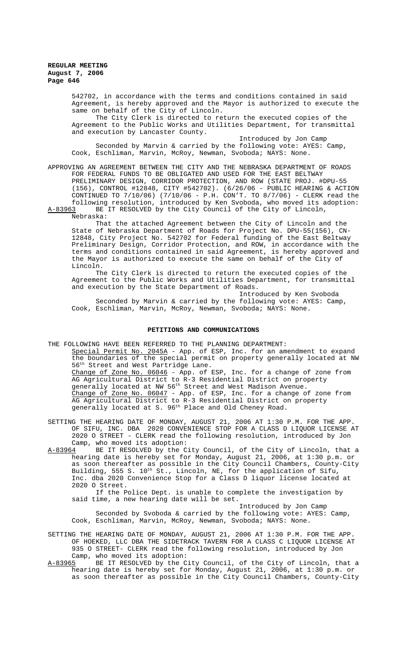542702, in accordance with the terms and conditions contained in said Agreement, is hereby approved and the Mayor is authorized to execute the same on behalf of the City of Lincoln.

The City Clerk is directed to return the executed copies of the Agreement to the Public Works and Utilities Department, for transmittal and execution by Lancaster County.

Introduced by Jon Camp Seconded by Marvin & carried by the following vote: AYES: Camp, Cook, Eschliman, Marvin, McRoy, Newman, Svoboda; NAYS: None.

APPROVING AN AGREEMENT BETWEEN THE CITY AND THE NEBRASKA DEPARTMENT OF ROADS FOR FEDERAL FUNDS TO BE OBLIGATED AND USED FOR THE EAST BELTWAY PRELIMINARY DESIGN, CORRIDOR PROTECTION, AND ROW (STATE PROJ. #DPU-55 (156), CONTROL #12848, CITY #542702). (6/26/06 - PUBLIC HEARING & ACTION CONTINUED TO 7/10/06) (7/10/06 - P.H. CON'T. TO 8/7/06) - CLERK read the following resolution, introduced by Ken Svoboda, who moved its adoption:

A-83963 BE IT RESOLVED by the City Council of the City of Lincoln, Nebraska:

That the attached Agreement between the City of Lincoln and the State of Nebraska Department of Roads for Project No. DPU-55(156), CN-12848, City Project No. 542702 for Federal funding of the East Beltway Preliminary Design, Corridor Protection, and ROW, in accordance with the terms and conditions contained in said Agreement, is hereby approved and the Mayor is authorized to execute the same on behalf of the City of Lincoln.

The City Clerk is directed to return the executed copies of the Agreement to the Public Works and Utilities Department, for transmittal and execution by the State Department of Roads.

Introduced by Ken Svoboda Seconded by Marvin & carried by the following vote: AYES: Camp, Cook, Eschliman, Marvin, McRoy, Newman, Svoboda; NAYS: None.

#### **PETITIONS AND COMMUNICATIONS**

THE FOLLOWING HAVE BEEN REFERRED TO THE PLANNING DEPARTMENT:

Special Permit No. 2045A - App. of ESP, Inc. for an amendment to expand the boundaries of the special permit on property generally located at NW 56th Street and West Partridge Lane.

Change of Zone No. 06046 - App. of ESP, Inc. for a change of zone from AG Agricultural District to R-3 Residential District on property generally located at NW 56<sup>th</sup> Street and West Madison Avenue. Change of Zone No. 06047 - App. of ESP, Inc. for a change of zone from AG Agricultural District to R-3 Residential District on property generally located at S. 96<sup>th</sup> Place and Old Cheney Road.

SETTING THE HEARING DATE OF MONDAY, AUGUST 21, 2006 AT 1:30 P.M. FOR THE APP. OF SIFU, INC. DBA 2020 CONVENIENCE STOP FOR A CLASS D LIQUOR LICENSE AT 2020 O STREET - CLERK read the following resolution, introduced by Jon Camp, who moved its adoption:

A-83964 BE IT RESOLVED by the City Council, of the City of Lincoln, that a hearing date is hereby set for Monday, August 21, 2006, at 1:30 p.m. or as soon thereafter as possible in the City Council Chambers, County-City Building, 555 S. 10<sup>th</sup> St., Lincoln, NE, for the application of Sifu, Inc. dba 2020 Convenience Stop for a Class D liquor license located at 2020 O Street.

If the Police Dept. is unable to complete the investigation by said time, a new hearing date will be set.

Introduced by Jon Camp Seconded by Svoboda & carried by the following vote: AYES: Camp, Cook, Eschliman, Marvin, McRoy, Newman, Svoboda; NAYS: None.

SETTING THE HEARING DATE OF MONDAY, AUGUST 21, 2006 AT 1:30 P.M. FOR THE APP. OF HOEKED, LLC DBA THE SIDETRACK TAVERN FOR A CLASS C LIQUOR LICENSE AT 935 O STREET- CLERK read the following resolution, introduced by Jon Camp, who moved its adoption:<br>A-83965 BE IT RESOLVED by the C

BE IT RESOLVED by the City Council, of the City of Lincoln, that a hearing date is hereby set for Monday, August 21, 2006, at 1:30 p.m. or as soon thereafter as possible in the City Council Chambers, County-City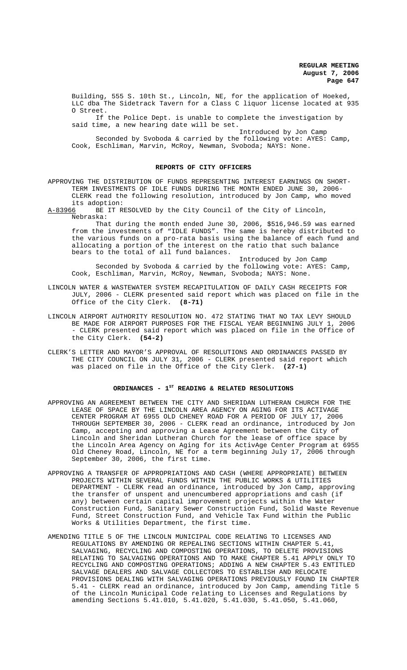Building, 555 S. 10th St., Lincoln, NE, for the application of Hoeked, LLC dba The Sidetrack Tavern for a Class C liquor license located at 935 O Street.

If the Police Dept. is unable to complete the investigation by said time, a new hearing date will be set.

Introduced by Jon Camp Seconded by Svoboda & carried by the following vote: AYES: Camp, Cook, Eschliman, Marvin, McRoy, Newman, Svoboda; NAYS: None.

#### **REPORTS OF CITY OFFICERS**

APPROVING THE DISTRIBUTION OF FUNDS REPRESENTING INTEREST EARNINGS ON SHORT-TERM INVESTMENTS OF IDLE FUNDS DURING THE MONTH ENDED JUNE 30, 2006- CLERK read the following resolution, introduced by Jon Camp, who moved its adoption:<br>A-83966 BE IT R

BE IT RESOLVED by the City Council of the City of Lincoln, Nebraska:

That during the month ended June 30, 2006, \$516,946.59 was earned from the investments of "IDLE FUNDS". The same is hereby distributed to the various funds on a pro-rata basis using the balance of each fund and allocating a portion of the interest on the ratio that such balance bears to the total of all fund balances.

Introduced by Jon Camp Seconded by Svoboda & carried by the following vote: AYES: Camp, Cook, Eschliman, Marvin, McRoy, Newman, Svoboda; NAYS: None.

- LINCOLN WATER & WASTEWATER SYSTEM RECAPITULATION OF DAILY CASH RECEIPTS FOR JULY, 2006 - CLERK presented said report which was placed on file in the Office of the City Clerk. **(8-71)**
- LINCOLN AIRPORT AUTHORITY RESOLUTION NO. 472 STATING THAT NO TAX LEVY SHOULD BE MADE FOR AIRPORT PURPOSES FOR THE FISCAL YEAR BEGINNING JULY 1, 2006 - CLERK presented said report which was placed on file in the Office of the City Clerk. **(54-2)**
- CLERK'S LETTER AND MAYOR'S APPROVAL OF RESOLUTIONS AND ORDINANCES PASSED BY THE CITY COUNCIL ON JULY 31, 2006 - CLERK presented said report which was placed on file in the Office of the City Clerk. **(27-1)**

## ORDINANCES - 1<sup>st</sup> READING & RELATED RESOLUTIONS

- APPROVING AN AGREEMENT BETWEEN THE CITY AND SHERIDAN LUTHERAN CHURCH FOR THE LEASE OF SPACE BY THE LINCOLN AREA AGENCY ON AGING FOR ITS ACTIVAGE CENTER PROGRAM AT 6955 OLD CHENEY ROAD FOR A PERIOD OF JULY 17, 2006 THROUGH SEPTEMBER 30, 2006 - CLERK read an ordinance, introduced by Jon Camp, accepting and approving a Lease Agreement between the City of Lincoln and Sheridan Lutheran Church for the lease of office space by the Lincoln Area Agency on Aging for its ActivAge Center Program at 6955 Old Cheney Road, Lincoln, NE for a term beginning July 17, 2006 through September 30, 2006, the first time.
- APPROVING A TRANSFER OF APPROPRIATIONS AND CASH (WHERE APPROPRIATE) BETWEEN PROJECTS WITHIN SEVERAL FUNDS WITHIN THE PUBLIC WORKS & UTILITIES DEPARTMENT - CLERK read an ordinance, introduced by Jon Camp, approving the transfer of unspent and unencumbered appropriations and cash (if any) between certain capital improvement projects within the Water Construction Fund, Sanitary Sewer Construction Fund, Solid Waste Revenue Fund, Street Construction Fund, and Vehicle Tax Fund within the Public Works & Utilities Department, the first time.
- AMENDING TITLE 5 OF THE LINCOLN MUNICIPAL CODE RELATING TO LICENSES AND REGULATIONS BY AMENDING OR REPEALING SECTIONS WITHIN CHAPTER 5.41, SALVAGING, RECYCLING AND COMPOSTING OPERATIONS, TO DELETE PROVISIONS RELATING TO SALVAGING OPERATIONS AND TO MAKE CHAPTER 5.41 APPLY ONLY TO RECYCLING AND COMPOSTING OPERATIONS; ADDING A NEW CHAPTER 5.43 ENTITLED SALVAGE DEALERS AND SALVAGE COLLECTORS TO ESTABLISH AND RELOCATE PROVISIONS DEALING WITH SALVAGING OPERATIONS PREVIOUSLY FOUND IN CHAPTER 5.41 - CLERK read an ordinance, introduced by Jon Camp, amending Title 5 of the Lincoln Municipal Code relating to Licenses and Regulations by amending Sections 5.41.010, 5.41.020, 5.41.030, 5.41.050, 5.41.060,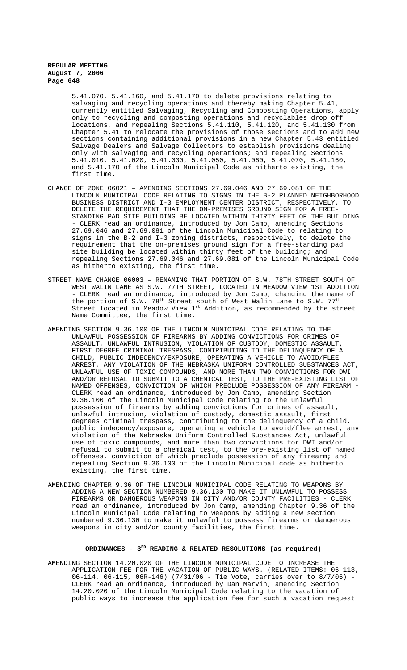5.41.070, 5.41.160, and 5.41.170 to delete provisions relating to salvaging and recycling operations and thereby making Chapter 5.41, currently entitled Salvaging, Recycling and Composting Operations, apply only to recycling and composting operations and recyclables drop off locations, and repealing Sections 5.41.110, 5.41.120, and 5.41.130 from Chapter 5.41 to relocate the provisions of those sections and to add new sections containing additional provisions in a new Chapter 5.43 entitled Salvage Dealers and Salvage Collectors to establish provisions dealing only with salvaging and recycling operations; and repealing Sections 5.41.010, 5.41.020, 5.41.030, 5.41.050, 5.41.060, 5.41.070, 5.41.160, and 5.41.170 of the Lincoln Municipal Code as hitherto existing, the first time.

- CHANGE OF ZONE 06021 AMENDING SECTIONS 27.69.046 AND 27.69.081 OF THE LINCOLN MUNICIPAL CODE RELATING TO SIGNS IN THE B-2 PLANNED NEIGHBORHOOD BUSINESS DISTRICT AND I-3 EMPLOYMENT CENTER DISTRICT, RESPECTIVELY, TO DELETE THE REQUIREMENT THAT THE ON-PREMISES GROUND SIGN FOR A FREE-STANDING PAD SITE BUILDING BE LOCATED WITHIN THIRTY FEET OF THE BUILDING - CLERK read an ordinance, introduced by Jon Camp, amending Sections 27.69.046 and 27.69.081 of the Lincoln Municipal Code to relating to signs in the B-2 and I-3 zoning districts, respectively, to delete the requirement that the on-premises ground sign for a free-standing pad site building be located within thirty feet of the building; and repealing Sections 27.69.046 and 27.69.081 of the Lincoln Municipal Code as hitherto existing, the first time.
- STREET NAME CHANGE 06003 RENAMING THAT PORTION OF S.W. 78TH STREET SOUTH OF WEST WALIN LANE AS S.W. 77TH STREET, LOCATED IN MEADOW VIEW 1ST ADDITION - CLERK read an ordinance, introduced by Jon Camp, changing the name of the portion of S.W.  $78^{\text{th}}$  Street south of West Walin Lane to S.W.  $77^{\text{th}}$ Street located in Meadow View 1<sup>st</sup> Addition, as recommended by the street Name Committee, the first time.
- AMENDING SECTION 9.36.100 OF THE LINCOLN MUNICIPAL CODE RELATING TO THE UNLAWFUL POSSESSION OF FIREARMS BY ADDING CONVICTIONS FOR CRIMES OF ASSAULT, UNLAWFUL INTRUSION, VIOLATION OF CUSTODY, DOMESTIC ASSAULT, FIRST DEGREE CRIMINAL TRESPASS, CONTRIBUTING TO THE DELINQUENCY OF A CHILD, PUBLIC INDECENCY/EXPOSURE, OPERATING A VEHICLE TO AVOID/FLEE ARREST, ANY VIOLATION OF THE NEBRASKA UNIFORM CONTROLLED SUBSTANCES ACT, UNLAWFUL USE OF TOXIC COMPOUNDS, AND MORE THAN TWO CONVICTIONS FOR DWI AND/OR REFUSAL TO SUBMIT TO A CHEMICAL TEST, TO THE PRE-EXISTING LIST OF NAMED OFFENSES, CONVICTION OF WHICH PRECLUDE POSSESSION OF ANY FIREARM - CLERK read an ordinance, introduced by Jon Camp, amending Section 9.36.100 of the Lincoln Municipal Code relating to the unlawful possession of firearms by adding convictions for crimes of assault, unlawful intrusion, violation of custody, domestic assault, first degrees criminal trespass, contributing to the delinquency of a child, public indecency/exposure, operating a vehicle to avoid/flee arrest, any violation of the Nebraska Uniform Controlled Substances Act, unlawful use of toxic compounds, and more than two convictions for DWI and/or refusal to submit to a chemical test, to the pre-existing list of named offenses, conviction of which preclude possession of any firearm; and repealing Section 9.36.100 of the Lincoln Municipal code as hitherto existing, the first time.
- AMENDING CHAPTER 9.36 OF THE LINCOLN MUNICIPAL CODE RELATING TO WEAPONS BY ADDING A NEW SECTION NUMBERED 9.36.130 TO MAKE IT UNLAWFUL TO POSSESS FIREARMS OR DANGEROUS WEAPONS IN CITY AND/OR COUNTY FACILITIES - CLERK read an ordinance, introduced by Jon Camp, amending Chapter 9.36 of the Lincoln Municipal Code relating to Weapons by adding a new section numbered 9.36.130 to make it unlawful to possess firearms or dangerous weapons in city and/or county facilities, the first time.

### **ORDINANCES - 3RD READING & RELATED RESOLUTIONS (as required)**

AMENDING SECTION 14.20.020 OF THE LINCOLN MUNICIPAL CODE TO INCREASE THE APPLICATION FEE FOR THE VACATION OF PUBLIC WAYS. (RELATED ITEMS: 06-113, 06-114, 06-115, 06R-146) (7/31/06 - Tie Vote, carries over to 8/7/06) - CLERK read an ordinance, introduced by Dan Marvin, amending Section 14.20.020 of the Lincoln Municipal Code relating to the vacation of public ways to increase the application fee for such a vacation request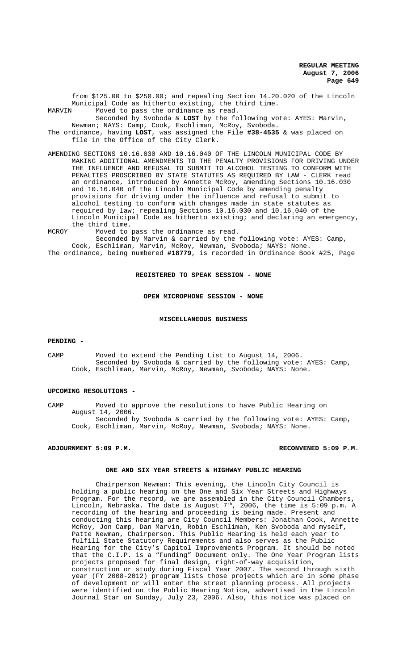from \$125.00 to \$250.00; and repealing Section 14.20.020 of the Lincoln Municipal Code as hitherto existing, the third time. MARVIN Moved to pass the ordinance as read.

Seconded by Svoboda & **LOST** by the following vote: AYES: Marvin, Newman; NAYS: Camp, Cook, Eschliman, McRoy, Svoboda.

The ordinance, having **LOST**, was assigned the File **#38-4535** & was placed on file in the Office of the City Clerk.

- AMENDING SECTIONS 10.16.030 AND 10.16.040 OF THE LINCOLN MUNICIPAL CODE BY MAKING ADDITIONAL AMENDMENTS TO THE PENALTY PROVISIONS FOR DRIVING UNDER THE INFLUENCE AND REFUSAL TO SUBMIT TO ALCOHOL TESTING TO CONFORM WITH PENALTIES PROSCRIBED BY STATE STATUTES AS REQUIRED BY LAW - CLERK read an ordinance, introduced by Annette McRoy, amending Sections 10.16.030 and 10.16.040 of the Lincoln Municipal Code by amending penalty provisions for driving under the influence and refusal to submit to .<br>alcohol testing to conform with changes made in state statutes as required by law; repealing Sections 10.16.030 and 10.16.040 of the Lincoln Municipal Code as hitherto existing; and declaring an emergency, the third time.
- MCROY Moved to pass the ordinance as read.

Seconded by Marvin & carried by the following vote: AYES: Camp, Cook, Eschliman, Marvin, McRoy, Newman, Svoboda; NAYS: None. The ordinance, being numbered **#18779**, is recorded in Ordinance Book #25, Page

### **REGISTERED TO SPEAK SESSION - NONE**

#### **OPEN MICROPHONE SESSION - NONE**

## **MISCELLANEOUS BUSINESS**

#### **PENDING -**

CAMP Moved to extend the Pending List to August 14, 2006. Seconded by Svoboda & carried by the following vote: AYES: Camp, Cook, Eschliman, Marvin, McRoy, Newman, Svoboda; NAYS: None.

## **UPCOMING RESOLUTIONS -**

CAMP Moved to approve the resolutions to have Public Hearing on August 14, 2006. Seconded by Svoboda & carried by the following vote: AYES: Camp, Cook, Eschliman, Marvin, McRoy, Newman, Svoboda; NAYS: None.

## **ADJOURNMENT 5:09 P.M. RECONVENED 5:09 P.M.**

#### **ONE AND SIX YEAR STREETS & HIGHWAY PUBLIC HEARING**

Chairperson Newman: This evening, the Lincoln City Council is holding a public hearing on the One and Six Year Streets and Highways Program. For the record, we are assembled in the City Council Chambers, Lincoln, Nebraska. The date is August  $7<sup>th</sup>$ , 2006, the time is 5:09 p.m. A recording of the hearing and proceeding is being made. Present and conducting this hearing are City Council Members: Jonathan Cook, Annette McRoy, Jon Camp, Dan Marvin, Robin Eschliman, Ken Svoboda and myself, Patte Newman, Chairperson. This Public Hearing is held each year to fulfill State Statutory Requirements and also serves as the Public Hearing for the City's Capitol Improvements Program. It should be noted that the C.I.P. is a "Funding" Document only. The One Year Program lists projects proposed for final design, right-of-way acquisition, construction or study during Fiscal Year 2007. The second through sixth year (FY 2008-2012) program lists those projects which are in some phase of development or will enter the street planning process. All projects were identified on the Public Hearing Notice, advertised in the Lincoln Journal Star on Sunday, July 23, 2006. Also, this notice was placed on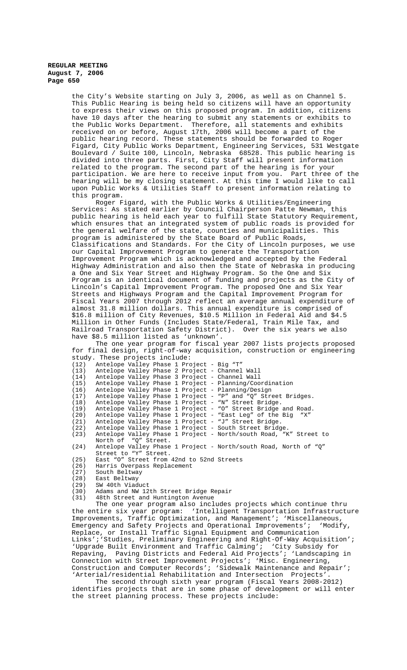the City's Website starting on July 3, 2006, as well as on Channel 5. This Public Hearing is being held so citizens will have an opportunity to express their views on this proposed program. In addition, citizens have 10 days after the hearing to submit any statements or exhibits to the Public Works Department. Therefore, all statements and exhibits received on or before, August 17th, 2006 will become a part of the public hearing record. These statements should be forwarded to Roger Figard, City Public Works Department, Engineering Services, 531 Westgate Boulevard / Suite 100, Lincoln, Nebraska 68528. This public hearing is divided into three parts. First, City Staff will present information related to the program. The second part of the hearing is for your<br>participation. We are here to receive input from you. Part three of the participation. We are here to receive input from you. hearing will be my closing statement. At this time I would like to call upon Public Works & Utilities Staff to present information relating to this program.

Roger Figard, with the Public Works & Utilities/Engineering Services: As stated earlier by Council Chairperson Patte Newman, this public hearing is held each year to fulfill State Statutory Requirement, which ensures that an integrated system of public roads is provided for the general welfare of the state, counties and municipalities. This program is administered by the State Board of Public Roads, Classifications and Standards. For the City of Lincoln purposes, we use our Capital Improvement Program to generate the Transportation Improvement Program which is acknowledged and accepted by the Federal Highway Administration and also then the State of Nebraska in producing a One and Six Year Street and Highway Program. So the One and Six Program is an identical document of funding and projects as the City of Lincoln's Capital Improvement Program. The proposed One and Six Year Streets and Highways Program and the Capital Improvement Program for Fiscal Years 2007 through 2012 reflect an average annual expenditure of almost 31.8 million dollars. This annual expenditure is comprised of \$16.8 million of City Revenues, \$10.5 Million in Federal Aid and \$4.5 Million in Other Funds (Includes State/Federal, Train Mile Tax, and Railroad Transportation Safety District). Over the six years we also have \$8.5 million listed as 'unknown'.

The one year program for fiscal year 2007 lists projects proposed for final design, right-of-way acquisition, construction or engineering study. These projects include:

| (12) | Antelope Valley Phase 1 Project - Big "T" |  |  |                                                                   |
|------|-------------------------------------------|--|--|-------------------------------------------------------------------|
| (13) |                                           |  |  | Antelope Valley Phase 2 Project - Channel Wall                    |
| (14) |                                           |  |  | Antelope Valley Phase 3 Project - Channel Wall                    |
| (15) |                                           |  |  | Antelope Valley Phase 1 Project - Planning/Coordination           |
| (16) |                                           |  |  | Antelope Valley Phase 1 Project - Planning/Design                 |
| (17) |                                           |  |  | Antelope Valley Phase 1 Project - "P" and "O" Street Bridges.     |
| (18) |                                           |  |  | Antelope Valley Phase 1 Project - "N" Street Bridge.              |
| (19) |                                           |  |  | Antelope Valley Phase 1 Project - "O" Street Bridge and Road.     |
| (20) |                                           |  |  | Antelope Valley Phase 1 Project - "East Leq" of the Big "X"       |
| (21) |                                           |  |  | Antelope Valley Phase 1 Project - "J" Street Bridge.              |
| (22) |                                           |  |  | Antelope Valley Phase 1 Project - South Street Bridge.            |
| (23) |                                           |  |  | Antelope Valley Phase 1 Project - North/south Road, "K" Street to |
|      | North of "O" Street.                      |  |  |                                                                   |
| (24) |                                           |  |  | Antelope Valley Phase 1 Project - North/south Road, North of "Q"  |
|      | Street to "Y" Street.                     |  |  |                                                                   |

- (25) East "O" Street from 42nd to 52nd Streets
- (26) Harris Overpass Replacement<br>(27) South Beltway
- (27) South Beltway
- (28) East Beltway<br>(29) SW 40th Viad
- (29) SW 40th Viaduct<br>(30) Adams and NW 12
- (30) Adams and NW 12th Street Bridge Repair
- 48th Street and Huntington Avenue

The one year program also includes projects which continue thru the entire six year program: 'Intelligent Transportation Infrastructure Improvements, Traffic Optimization, and Management'; 'Miscellaneous, Emergency and Safety Projects and Operational Improvements'; 'Modify, Replace, or Install Traffic Signal Equipment and Communication Links';'Studies, Preliminary Engineering and Right-Of-Way Acquisition'; 'Upgrade Built Environment and Traffic Calming'; 'City Subsidy for Repaving, Paving Districts and Federal Aid Projects'; 'Landscaping in Connection with Street Improvement Projects'; 'Misc. Engineering, Construction and Computer Records'; 'Sidewalk Maintenance and Repair'; 'Arterial/residential Rehabilitation and Intersection Projects'.

The second through sixth year program (Fiscal Years 2008-2012) identifies projects that are in some phase of development or will enter the street planning process. These projects include: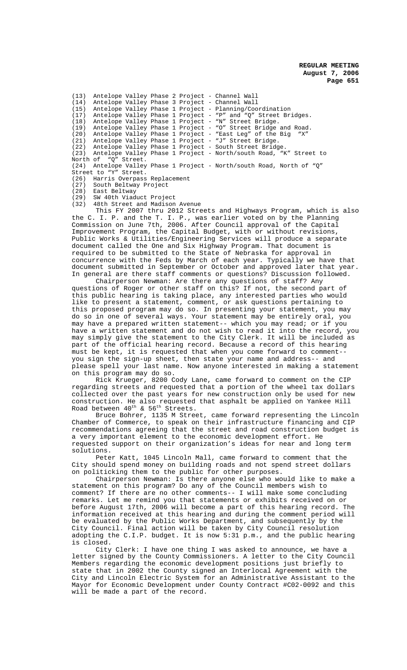(13) Antelope Valley Phase 2 Project - Channel Wall (14) Antelope Valley Phase 3 Project - Channel Wall (15) Antelope Valley Phase 1 Project - Planning/Coordination (17) Antelope Valley Phase 1 Project - "P" and "Q" Street Bridges.<br>(18) Antelope Valley Phase 1 Project - "N" Street Bridge. (18) Antelope Valley Phase 1 Project - "N" Street Bridge. (19) Antelope Valley Phase 1 Project - "O" Street Bridge and Road.  $(20)$  Antelope Valley Phase 1 Project - "East Leg" of the Big  $(21)$  Antelope Valley Phase 1 Project - "J" Street Bridge. Antelope Valley Phase 1 Project - "J" Street Bridge. (22) Antelope Valley Phase 1 Project - South Street Bridge. (23) Antelope Valley Phase 1 Project - North/south Road, "K" Street to North of "Q" Street. (24) Antelope Valley Phase 1 Project - North/south Road, North of "Q" Street to "Y" Street.<br>(26) Harris Overpass (26) Harris Overpass Replacement<br>(27) South Beltway Project (27) South Beltway Project<br>(28) East Beltway

East Beltway

(29) SW 40th Viaduct Project

(32) 48th Street and Madison Avenue

This FY 2007 thru 2012 Streets and Highways Program, which is also the C. I. P. and the T. I. P., was earlier voted on by the Planning Commission on June 7th, 2006. After Council approval of the Capital Improvement Program, the Capital Budget, with or without revisions, Public Works & Utilities/Engineering Services will produce a separate document called the One and Six Highway Program. That document is required to be submitted to the State of Nebraska for approval in concurrence with the Feds by March of each year. Typically we have that document submitted in September or October and approved later that year. In general are there staff comments or questions? Discussion followed.

Chairperson Newman: Are there any questions of staff? Any questions of Roger or other staff on this? If not, the second part of this public hearing is taking place, any interested parties who would like to present a statement, comment, or ask questions pertaining to this proposed program may do so. In presenting your statement, you may do so in one of several ways. Your statement may be entirely oral, you may have a prepared written statement-- which you may read; or if you have a written statement and do not wish to read it into the record, you may simply give the statement to the City Clerk. It will be included as part of the official hearing record. Because a record of this hearing must be kept, it is requested that when you come forward to comment- you sign the sign-up sheet, then state your name and address-- and please spell your last name. Now anyone interested in making a statement on this program may do so.

Rick Krueger, 8200 Cody Lane, came forward to comment on the CIP regarding streets and requested that a portion of the wheel tax dollars collected over the past years for new construction only be used for new construction. He also requested that asphalt be applied on Yankee Hill Road between  $40^{\text{th}}$  &  $56^{\text{th}}$  Streets.

Bruce Bohrer, 1135 M Street, came forward representing the Lincoln Chamber of Commerce, to speak on their infrastructure financing and CIP recommendations agreeing that the street and road construction budget is a very important element to the economic development effort. He requested support on their organization's ideas for near and long term solutions.

Peter Katt, 1045 Lincoln Mall, came forward to comment that the City should spend money on building roads and not spend street dollars on politicking them to the public for other purposes.

Chairperson Newman: Is there anyone else who would like to make a statement on this program? Do any of the Council members wish to comment? If there are no other comments-- I will make some concluding remarks. Let me remind you that statements or exhibits received on or before August 17th, 2006 will become a part of this hearing record. The information received at this hearing and during the comment period will be evaluated by the Public Works Department, and subsequently by the City Council. Final action will be taken by City Council resolution adopting the C.I.P. budget. It is now 5:31 p.m., and the public hearing is closed.

City Clerk: I have one thing I was asked to announce, we have a letter signed by the County Commissioners. A letter to the City Council Members regarding the economic development positions just briefly to state that in 2002 the County signed an Interlocal Agreement with the City and Lincoln Electric System for an Administrative Assistant to the Mayor for Economic Development under County Contract #C02-0092 and this will be made a part of the record.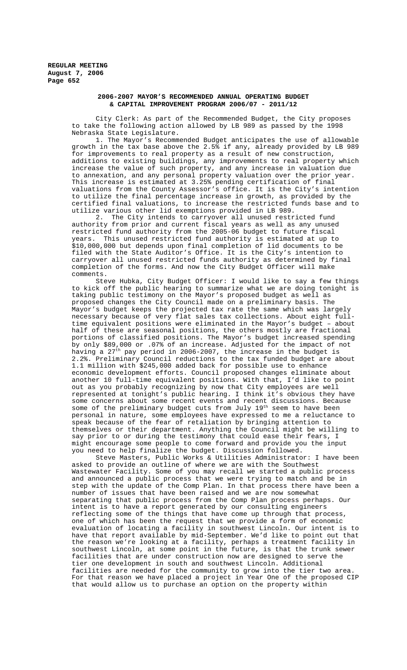## **2006-2007 MAYOR'S RECOMMENDED ANNUAL OPERATING BUDGET & CAPITAL IMPROVEMENT PROGRAM 2006/07 - 2011/12**

City Clerk: As part of the Recommended Budget, the City proposes to take the following action allowed by LB 989 as passed by the 1998 Nebraska State Legislature.

1. The Mayor's Recommended Budget anticipates the use of allowable growth in the tax base above the 2.5% if any, already provided by LB 989 for improvements to real property as a result of new construction, additions to existing buildings, any improvements to real property which increase the value of such property, and any increase in valuation due to annexation, and any personal property valuation over the prior year. This increase is estimated at 3.25% pending certification of final valuations from the County Assessor's office. It is the City's intention to utilize the final percentage increase in growth, as provided by the certified final valuations, to increase the restricted funds base and to utilize various other lid exemptions provided in LB 989.

2. The City intends to carryover all unused restricted fund authority from prior and current fiscal years as well as any unused restricted fund authority from the 2005-06 budget to future fiscal years. This unused restricted fund authority is estimated at up to \$10,000,000 but depends upon final completion of lid documents to be filed with the State Auditor's Office. It is the City's intention to carryover all unused restricted funds authority as determined by final completion of the forms. And now the City Budget Officer will make comments.

Steve Hubka, City Budget Officer: I would like to say a few things to kick off the public hearing to summarize what we are doing tonight is taking public testimony on the Mayor's proposed budget as well as proposed changes the City Council made on a preliminary basis. The Mayor's budget keeps the projected tax rate the same which was largely necessary because of very flat sales tax collections. About eight fulltime equivalent positions were eliminated in the Mayor's budget – about half of these are seasonal positions, the others mostly are fractional portions of classified positions. The Mayor's budget increased spending by only \$89,000 or .07% of an increase. Adjusted for the impact of not having a 27th pay period in 2006-2007, the increase in the budget is 2.2%. Preliminary Council reductions to the tax funded budget are about 1.1 million with \$245,000 added back for possible use to enhance economic development efforts. Council proposed changes eliminate about another 10 full-time equivalent positions. With that, I'd like to point out as you probably recognizing by now that City employees are well represented at tonight's public hearing. I think it's obvious they have some concerns about some recent events and recent discussions. Because some of the preliminary budget cuts from July 19th seem to have been personal in nature, some employees have expressed to me a reluctance to speak because of the fear of retaliation by bringing attention to themselves or their department. Anything the Council might be willing to say prior to or during the testimony that could ease their fears, I might encourage some people to come forward and provide you the input you need to help finalize the budget. Discussion followed.

Steve Masters, Public Works & Utilities Administrator: I have been asked to provide an outline of where we are with the Southwest Wastewater Facility. Some of you may recall we started a public process and announced a public process that we were trying to match and be in step with the update of the Comp Plan. In that process there have been a number of issues that have been raised and we are now somewhat separating that public process from the Comp Plan process perhaps. Our intent is to have a report generated by our consulting engineers reflecting some of the things that have come up through that process, one of which has been the request that we provide a form of economic evaluation of locating a facility in southwest Lincoln. Our intent is to have that report available by mid-September. We'd like to point out that the reason we're looking at a facility, perhaps a treatment facility in southwest Lincoln, at some point in the future, is that the trunk sewer facilities that are under construction now are designed to serve the tier one development in south and southwest Lincoln. Additional facilities are needed for the community to grow into the tier two area. For that reason we have placed a project in Year One of the proposed CIP that would allow us to purchase an option on the property within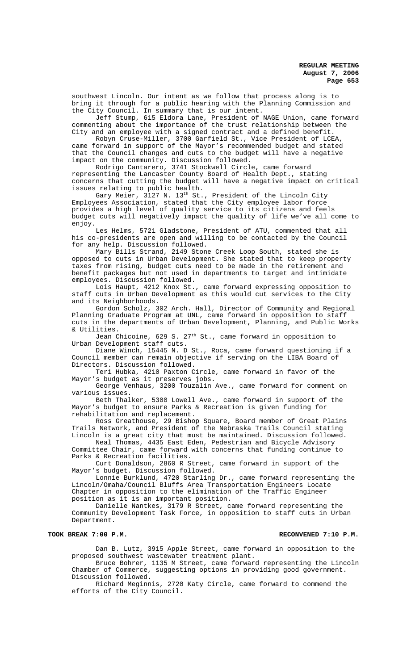southwest Lincoln. Our intent as we follow that process along is to bring it through for a public hearing with the Planning Commission and the City Council. In summary that is our intent.

Jeff Stump, 615 Eldora Lane, President of NAGE Union, came forward commenting about the importance of the trust relationship between the City and an employee with a signed contract and a defined benefit.

Robyn Cruse-Miller, 3700 Garfield St., Vice President of LCEA, came forward in support of the Mayor's recommended budget and stated that the Council changes and cuts to the budget will have a negative impact on the community. Discussion followed.

Rodrigo Cantarero, 3741 Stockwell Circle, came forward representing the Lancaster County Board of Health Dept., stating concerns that cutting the budget will have a negative impact on critical issues relating to public health.

Gary Meier, 3127 N. 13<sup>th</sup> St., President of the Lincoln City Employees Association, stated that the City employee labor force provides a high level of quality service to its citizens and feels budget cuts will negatively impact the quality of life we've all come to enjoy.

Les Helms, 5721 Gladstone, President of ATU, commented that all his co-presidents are open and willing to be contacted by the Council for any help. Discussion followed.

Mary Bills Strand, 2149 Stone Creek Loop South, stated she is opposed to cuts in Urban Development. She stated that to keep property taxes from rising, budget cuts need to be made in the retirement and benefit packages but not used in departments to target and intimidate employees. Discussion followed.

Lois Haupt, 4212 Knox St., came forward expressing opposition to staff cuts in Urban Development as this would cut services to the City and its Neighborhoods.

Gordon Scholz, 302 Arch. Hall, Director of Community and Regional Planning Graduate Program at UNL, came forward in opposition to staff cuts in the departments of Urban Development, Planning, and Public Works & Utilities.

Jean Chicoine, 629 S. 27<sup>th</sup> St., came forward in opposition to Urban Development staff cuts.

Diane Winch, 15445 N. D St., Roca, came forward questioning if a Council member can remain objective if serving on the LIBA Board of Directors. Discussion followed.

Teri Hubka, 4210 Paxton Circle, came forward in favor of the Mayor's budget as it preserves jobs.

George Venhaus, 3200 Touzalin Ave., came forward for comment on various issues.

Beth Thalker, 5300 Lowell Ave., came forward in support of the Mayor's budget to ensure Parks & Recreation is given funding for rehabilitation and replacement.

Ross Greathouse, 29 Bishop Square, Board member of Great Plains Trails Network, and President of the Nebraska Trails Council stating Lincoln is a great city that must be maintained. Discussion followed.

Neal Thomas, 4435 East Eden, Pedestrian and Bicycle Advisory Committee Chair, came forward with concerns that funding continue to Parks & Recreation facilities.

Curt Donaldson, 2860 R Street, came forward in support of the Mayor's budget. Discussion followed.

Lonnie Burklund, 4720 Starling Dr., came forward representing the Lincoln/Omaha/Council Bluffs Area Transportation Engineers Locate Chapter in opposition to the elimination of the Traffic Engineer position as it is an important position.

Danielle Nantkes, 3179 R Street, came forward representing the Community Development Task Force, in opposition to staff cuts in Urban Department.

#### TOOK BREAK 7:00 P.M. **RECONVENED 7:10 P.M.** RECONVENED 7:10 P.M.

Dan B. Lutz, 3915 Apple Street, came forward in opposition to the proposed southwest wastewater treatment plant.

Bruce Bohrer, 1135 M Street, came forward representing the Lincoln Chamber of Commerce, suggesting options in providing good government. Discussion followed.

Richard Meginnis, 2720 Katy Circle, came forward to commend the efforts of the City Council.